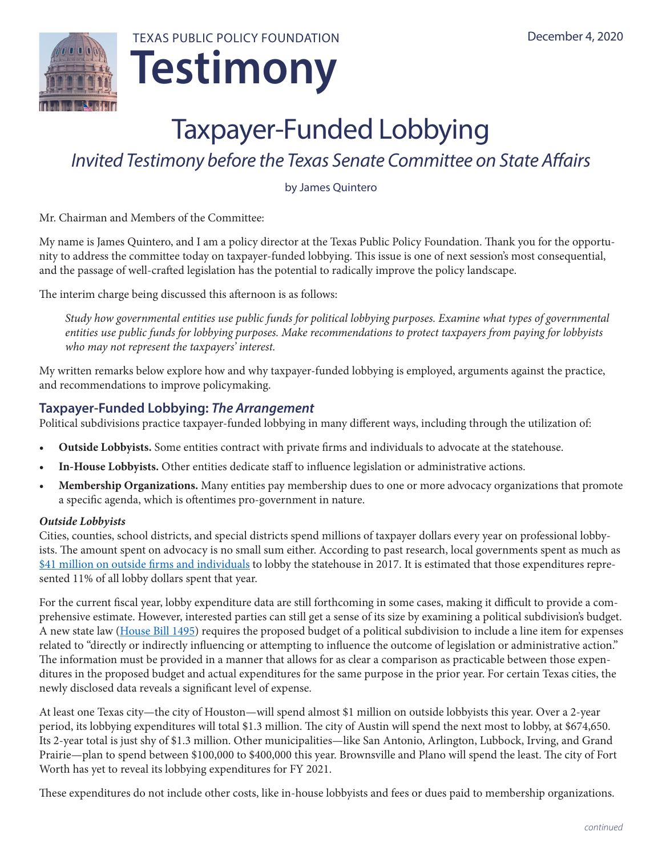

# Taxpayer-Funded Lobbying

# *Invited Testimony before the Texas Senate Committee on State Affairs*

by James Quintero

Mr. Chairman and Members of the Committee:

My name is James Quintero, and I am a policy director at the Texas Public Policy Foundation. Thank you for the opportunity to address the committee today on taxpayer-funded lobbying. This issue is one of next session's most consequential, and the passage of well-crafted legislation has the potential to radically improve the policy landscape.

The interim charge being discussed this afternoon is as follows:

*Study how governmental entities use public funds for political lobbying purposes. Examine what types of governmental entities use public funds for lobbying purposes. Make recommendations to protect taxpayers from paying for lobbyists who may not represent the taxpayers' interest.*

My written remarks below explore how and why taxpayer-funded lobbying is employed, arguments against the practice, and recommendations to improve policymaking.

# **Taxpayer-Funded Lobbying:** *The Arrangement*

Political subdivisions practice taxpayer-funded lobbying in many different ways, including through the utilization of:

- **• Outside Lobbyists.** Some entities contract with private firms and individuals to advocate at the statehouse.
- **• In-House Lobbyists.** Other entities dedicate staff to influence legislation or administrative actions.
- **• Membership Organizations.** Many entities pay membership dues to one or more advocacy organizations that promote a specific agenda, which is oftentimes pro-government in nature.

#### *Outside Lobbyists*

Cities, counties, school districts, and special districts spend millions of taxpayer dollars every year on professional lobbyists. The amount spent on advocacy is no small sum either. According to [past research](https://files.texaspolicy.com/uploads/2018/08/16104346/2017-11-PolicyBrief-TaxpayerFundedLobbying-CEP-DeVore-1.pdf), local governments spent as much as [\\$41 million on outside firms and individuals](https://files.texaspolicy.com/uploads/2018/08/16104346/2017-11-PolicyBrief-TaxpayerFundedLobbying-CEP-DeVore-1.pdf) to lobby the statehouse in 2017. It is estimated that those expenditures represented 11% of all lobby dollars spent that year.

For the current fiscal year, lobby expenditure data are still forthcoming in some cases, making it difficult to provide a comprehensive estimate. However, interested parties can still get a sense of its size by examining a political subdivision's budget. A new state law (House Bill 1495) requires the proposed budget of a political subdivision to include a line item for expenses related to "directly or indirectly influencing or attempting to influence the outcome of legislation or administrative action." The information must be provided in a manner that allows for as clear a comparison as practicable between those expenditures in the proposed budget and actual expenditures for the same purpose in the prior year. For certain Texas cities, the newly disclosed data reveals a significant level of expense.

At least one Texas city—the city of Houston—will spend almost \$1 million on outside lobbyists this year. Over a 2-year period, its lobbying expenditures will total \$1.3 million. The city of Austin will spend the next most to lobby, at \$674,650. Its 2-year total is just shy of \$1.3 million. Other municipalities—like San Antonio, Arlington, Lubbock, Irving, and Grand Prairie—plan to spend between \$100,000 to \$400,000 this year. Brownsville and Plano will spend the least. The city of Fort Worth has yet to reveal its lobbying expenditures for FY 2021.

These expenditures do not include other costs, like in-house lobbyists and fees or dues paid to membership organizations.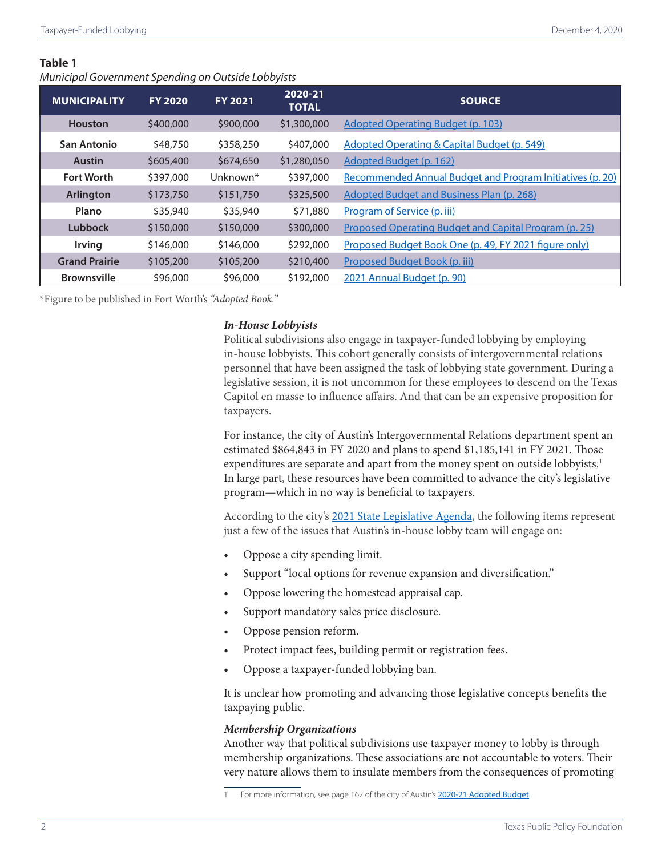#### **Table 1**

*Municipal Government Spending on Outside Lobbyists*

| <b>MUNICIPALITY</b>  | <b>FY 2020</b> | <b>FY 2021</b>       | 2020-21<br><b>TOTAL</b> | <b>SOURCE</b>                                             |
|----------------------|----------------|----------------------|-------------------------|-----------------------------------------------------------|
| <b>Houston</b>       | \$400,000      | \$900,000            | \$1,300,000             | <b>Adopted Operating Budget (p. 103)</b>                  |
| San Antonio          | \$48,750       | \$358,250            | \$407,000               | <b>Adopted Operating &amp; Capital Budget (p. 549)</b>    |
| <b>Austin</b>        | \$605,400      | \$674,650            | \$1,280,050             | Adopted Budget (p. 162)                                   |
| <b>Fort Worth</b>    | \$397,000      | Unknown <sup>*</sup> | \$397,000               | Recommended Annual Budget and Program Initiatives (p. 20) |
| Arlington            | \$173,750      | \$151,750            | \$325,500               | <b>Adopted Budget and Business Plan (p. 268)</b>          |
| Plano                | \$35,940       | \$35,940             | \$71,880                | Program of Service (p. iii)                               |
| Lubbock              | \$150,000      | \$150,000            | \$300,000               | Proposed Operating Budget and Capital Program (p. 25)     |
| <b>Irving</b>        | \$146,000      | \$146,000            | \$292,000               | Proposed Budget Book One (p. 49, FY 2021 figure only)     |
| <b>Grand Prairie</b> | \$105,200      | \$105,200            | \$210,400               | Proposed Budget Book (p. iii)                             |
| <b>Brownsville</b>   | \$96,000       | \$96,000             | \$192,000               | 2021 Annual Budget (p. 90)                                |

\*Figure to be published in Fort Worth's *"Adopted Book.*"

#### *In-House Lobbyists*

Political subdivisions also engage in taxpayer-funded lobbying by employing in-house lobbyists. This cohort generally consists of intergovernmental relations personnel that have been assigned the task of lobbying state government. During a legislative session, it is not uncommon for these employees to descend on the Texas Capitol en masse to influence affairs. And that can be an expensive proposition for taxpayers.

For instance, the city of Austin's Intergovernmental Relations department spent an estimated \$864,843 in FY 2020 and plans to spend \$1,185,141 in FY 2021. Those expenditures are separate and apart from the money spent on outside lobbyists.<sup>1</sup> In large part, these resources have been committed to advance the city's legislative program—which in no way is beneficial to taxpayers.

According to the city's [2021 State Legislative Agenda,](https://www.austintexas.gov/edims/document.cfm?id=346399) the following items represent just a few of the issues that Austin's in-house lobby team will engage on:

- Oppose a city spending limit.
- Support "local options for revenue expansion and diversification."
- Oppose lowering the homestead appraisal cap.
- Support mandatory sales price disclosure.
- Oppose pension reform.
- Protect impact fees, building permit or registration fees.
- Oppose a taxpayer-funded lobbying ban.

It is unclear how promoting and advancing those legislative concepts benefits the taxpaying public.

#### *Membership Organizations*

Another way that political subdivisions use taxpayer money to lobby is through membership organizations. These associations are not accountable to voters. Their very nature allows them to insulate members from the consequences of promoting

For more information, see page 162 of the city of Austin's [2020-21 Adopted Budget](https://assets.austintexas.gov/budget/20-21/downloads/2020-21_Approved_Budget.pdf).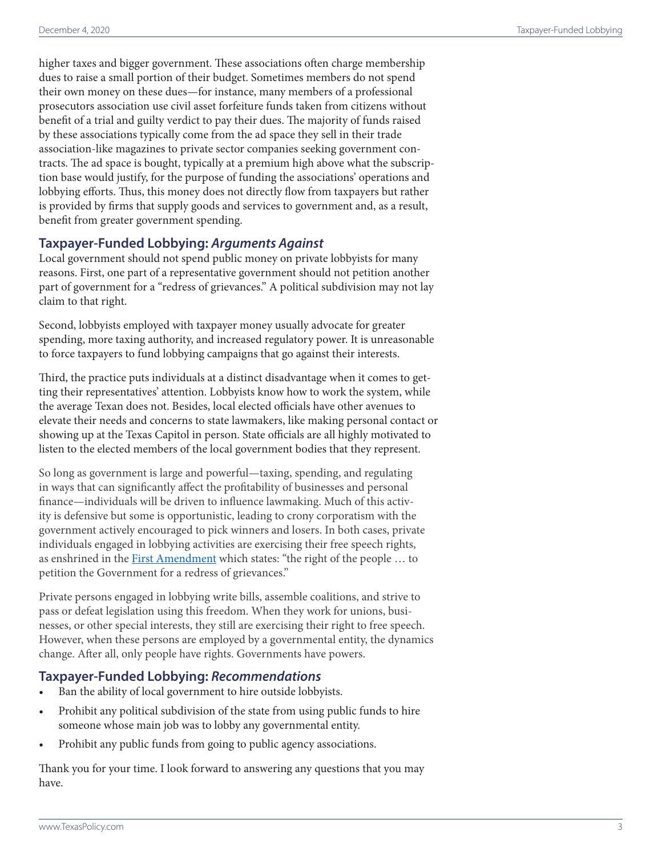higher taxes and bigger government. These associations often charge membership dues to raise a small portion of their budget. Sometimes members do not spend their own money on these dues—for instance, many members of a professional prosecutors association use civil asset forfeiture funds taken from citizens without benefit of a trial and guilty verdict to pay their dues. The majority of funds raised by these associations typically come from the ad space they sell in their trade association-like magazines to private sector companies seeking government con tracts. The ad space is bought, typically at a premium high above what the subscrip tion base would justify, for the purpose of funding the associations' operations and lobbying efforts. Thus, this money does not directly flow from taxpayers but rather is provided by firms that supply goods and services to government and, as a result, benefit from greater government spending.

# **Taxpayer-Funded Lobbying:** *Arguments Against*

Local government should not spend public money on private lobbyists for many reasons. First, one part of a representative government should not petition another part of government for a "redress of grievances." A political subdivision may not lay claim to that right.

Second, lobbyists employed with taxpayer money usually advocate for greater spending, more taxing authority, and increased regulatory power. It is unreasonable to force taxpayers to fund lobbying campaigns that go against their interests.

Third, the practice puts individuals at a distinct disadvantage when it comes to get ting their representatives' attention. Lobbyists know how to work the system, while the average Texan does not. Besides, local elected officials have other avenues to elevate their needs and concerns to state lawmakers, like making personal contact or showing up at the Texas Capitol in person. State officials are all highly motivated to listen to the elected members of the local government bodies that they represent.

So long as government is large and powerful—taxing, spending, and regulating in ways that can significantly affect the profitability of businesses and personal finance—individuals will be driven to influence lawmaking. Much of this activ ity is defensive but some is opportunistic, leading to crony corporatism with the government actively encouraged to pick winners and losers. In both cases, private individuals engaged in lobbying activities are exercising their free speech rights, as enshrined in the [First Amendment](https://constitution.congress.gov/constitution/amendment-1) which states: "the right of the people ... to petition the Government for a redress of grievances."

Private persons engaged in lobbying write bills, assemble coalitions, and strive to pass or defeat legislation using this freedom. When they work for unions, busi nesses, or other special interests, they still are exercising their right to free speech. However, when these persons are employed by a governmental entity, the dynamics change. After all, only people have rights. Governments have powers.

# **Taxpayer-Funded Lobbying:** *Recommendations*

- Ban the ability of local government to hire outside lobbyists.
- Prohibit any political subdivision of the state from using public funds to hire someone whose main job was to lobby any governmental entity.
- Prohibit any public funds from going to public agency associations.

Thank you for your time. I look forward to answering any questions that you may have.